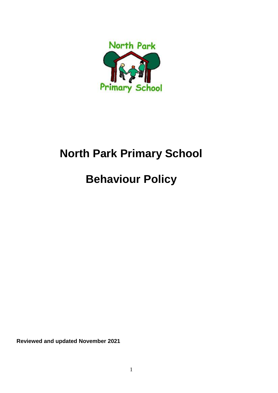

# **North Park Primary School**

# **Behaviour Policy**

**Reviewed and updated November 2021**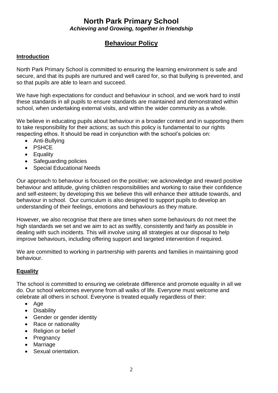### **North Park Primary School**  *Achieving and Growing, together in friendship*

## **Behaviour Policy**

#### **Introduction**

North Park Primary School is committed to ensuring the learning environment is safe and secure, and that its pupils are nurtured and well cared for, so that bullying is prevented, and so that pupils are able to learn and succeed.

We have high expectations for conduct and behaviour in school, and we work hard to instil these standards in all pupils to ensure standards are maintained and demonstrated within school, when undertaking external visits, and within the wider community as a whole.

We believe in educating pupils about behaviour in a broader context and in supporting them to take responsibility for their actions; as such this policy is fundamental to our rights respecting ethos. It should be read in conjunction with the school's policies on:

- Anti-Bullying
- PSHCE
- Equality
- Safeguarding policies
- Special Educational Needs

Our approach to behaviour is focused on the positive; we acknowledge and reward positive behaviour and attitude, giving children responsibilities and working to raise their confidence and self-esteem; by developing this we believe this will enhance their attitude towards, and behaviour in school. Our curriculum is also designed to support pupils to develop an understanding of their feelings, emotions and behaviours as they mature.

However, we also recognise that there are times when some behaviours do not meet the high standards we set and we aim to act as swiftly, consistently and fairly as possible in dealing with such incidents. This will involve using all strategies at our disposal to help improve behaviours, including offering support and targeted intervention if required.

We are committed to working in partnership with parents and families in maintaining good behaviour.

#### **Equality**

The school is committed to ensuring we celebrate difference and promote equality in all we do. Our school welcomes everyone from all walks of life. Everyone must welcome and celebrate all others in school. Everyone is treated equally regardless of their:

- Age
- Disability
- Gender or gender identity
- Race or nationality
- Religion or belief
- Pregnancy
- Marriage
- Sexual orientation.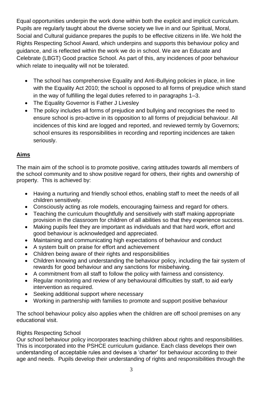Equal opportunities underpin the work done within both the explicit and implicit curriculum. Pupils are regularly taught about the diverse society we live in and our Spiritual, Moral, Social and Cultural guidance prepares the pupils to be effective citizens in life. We hold the Rights Respecting School Award, which underpins and supports this behaviour policy and guidance, and is reflected within the work we do in school. We are an Educate and Celebrate (LBGT) Good practice School. As part of this, any incidences of poor behaviour which relate to inequality will not be tolerated.

- The school has comprehensive Equality and Anti-Bullying policies in place, in line with the Equality Act 2010; the school is opposed to all forms of prejudice which stand in the way of fulfilling the legal duties referred to in paragraphs 1–3.
- The Equality Governor is Father J Livesley
- The policy includes all forms of prejudice and bullying and recognises the need to ensure school is pro-active in its opposition to all forms of prejudicial behaviour. All incidences of this kind are logged and reported, and reviewed termly by Governors; school ensures its responsibilities in recording and reporting incidences are taken seriously.

#### **Aims**

The main aim of the school is to promote positive, caring attitudes towards all members of the school community and to show positive regard for others, their rights and ownership of property. This is achieved by:

- Having a nurturing and friendly school ethos, enabling staff to meet the needs of all children sensitively.
- Consciously acting as role models, encouraging fairness and regard for others.
- Teaching the curriculum thoughtfully and sensitively with staff making appropriate provision in the classroom for children of all abilities so that they experience success.
- Making pupils feel they are important as individuals and that hard work, effort and good behaviour is acknowledged and appreciated.
- Maintaining and communicating high expectations of behaviour and conduct
- A system built on praise for effort and achievement
- Children being aware of their rights and responsibilities
- Children knowing and understanding the behaviour policy, including the fair system of rewards for good behaviour and any sanctions for misbehaving.
- A commitment from all staff to follow the policy with fairness and consistency.
- Regular monitoring and review of any behavioural difficulties by staff, to aid early intervention as required.
- Seeking additional support where necessary
- Working in partnership with families to promote and support positive behaviour

The school behaviour policy also applies when the children are off school premises on any educational visit.

#### Rights Respecting School

Our school behaviour policy incorporates teaching children about rights and responsibilities. This is incorporated into the PSHCE curriculum guidance. Each class develops their own understanding of acceptable rules and devises a 'charter' for behaviour according to their age and needs. Pupils develop their understanding of rights and responsibilities through the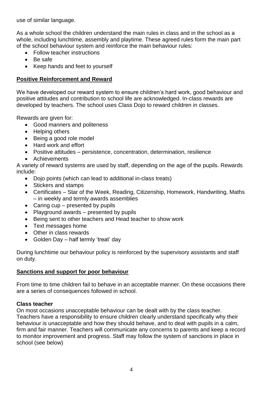use of similar language.

As a whole school the children understand the main rules in class and in the school as a whole, including lunchtime, assembly and playtime. These agreed rules form the main part of the school behaviour system and reinforce the main behaviour rules:

- Follow teacher instructions
- Be safe
- Keep hands and feet to yourself

#### **Positive Reinforcement and Reward**

We have developed our reward system to ensure children's hard work, good behaviour and positive attitudes and contribution to school life are acknowledged. In-class rewards are developed by teachers. The school uses Class Dojo to reward children in classes.

Rewards are given for:

- Good manners and politeness
- Helping others
- Being a good role model
- Hard work and effort
- Positive attitudes persistence, concentration, determination, resilience
- Achievements

A variety of reward systems are used by staff, depending on the age of the pupils. Rewards include:

- Dojo points (which can lead to additional in-class treats)
- Stickers and stamps
- Certificates Star of the Week, Reading, Citizenship, Homework, Handwriting, Maths – in weekly and termly awards assemblies
- Caring cup presented by pupils
- Playground awards presented by pupils
- Being sent to other teachers and Head teacher to show work
- Text messages home
- Other in class rewards
- Golden Day half termly 'treat' day

During lunchtime our behaviour policy is reinforced by the supervisory assistants and staff on duty.

#### **Sanctions and support for poor behaviour**

From time to time children fail to behave in an acceptable manner. On these occasions there are a series of consequences followed in school.

#### **Class teacher**

On most occasions unacceptable behaviour can be dealt with by the class teacher. Teachers have a responsibility to ensure children clearly understand specifically why their behaviour is unacceptable and how they should behave, and to deal with pupils in a calm, firm and fair manner. Teachers will communicate any concerns to parents and keep a record to monitor improvement and progress. Staff may follow the system of sanctions in place in school (see below)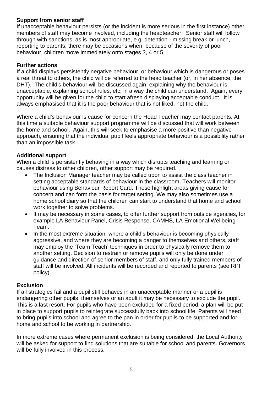#### **Support from senior staff**

If unacceptable behaviour persists (or the incident is more serious in the first instance) other members of staff may become involved, including the headteacher. Senior staff will follow through with sanctions, as is most appropriate, e.g. detention - missing break or lunch, reporting to parents; there may be occasions when, because of the severity of poor behaviour, children move immediately onto stages 3, 4 or 5.

#### **Further actions**

If a child displays persistently negative behaviour, or behaviour which is dangerous or poses a real threat to others, the child will be referred to the head teacher (or, in her absence, the DHT). The child's behaviour will be discussed again, explaining why the behaviour is unacceptable, explaining school rules, etc, in a way the child can understand. Again, every opportunity will be given for the child to start afresh displaying acceptable conduct. It is always emphasised that it is the poor behaviour that is not liked, not the child.

Where a child's behaviour is cause for concern the Head Teacher may contact parents. At this time a suitable behaviour support programme will be discussed that will work between the home and school. Again, this will seek to emphasise a more positive than negative approach, ensuring that the individual pupil feels appropriate behaviour is a possibility rather than an impossible task.

#### **Additional support**

When a child is persistently behaving in a way which disrupts teaching and learning or causes distress to other children, other support may be required.

- The Inclusion Manager teacher may be called upon to assist the class teacher in setting acceptable standards of behaviour in the classroom. Teachers will monitor behaviour using Behaviour Report Card. These highlight areas giving cause for concern and can form the basis for target setting. We may also sometimes use a home school diary so that the children can start to understand that home and school work together to solve problems.
- It may be necessary in some cases, to offer further support from outside agencies, for example LA Behaviour Panel, Crisis Response, CAMHS, LA Emotional Wellbeing Team.
- In the most extreme situation, where a child's behaviour is becoming physically aggressive, and where they are becoming a danger to themselves and others, staff may employ the 'Team Teach' techniques in order to physically remove them to another setting. Decision to restrain or remove pupils will only be done under guidance and direction of senior members of staff, and only fully trained members of staff will be involved. All incidents will be recorded and reported to parents (see RPI policy).

#### **Exclusion**

If all strategies fail and a pupil still behaves in an unacceptable manner or a pupil is endangering other pupils, themselves or an adult it may be necessary to exclude the pupil. This is a last resort. For pupils who have been excluded for a fixed period, a plan will be put in place to support pupils to reintegrate successfully back into school life. Parents will need to bring pupils into school and agree to the pan in order for pupils to be supported and for home and school to be working in partnership.

In more extreme cases where permanent exclusion is being considered, the Local Authority will be asked for support to find solutions that are suitable for school and parents. Governors will be fully involved in this process.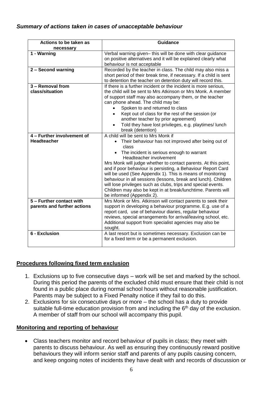#### *Summary of actions taken in cases of unacceptable behaviour*

| Actions to be taken as      | <b>Guidance</b>                                                                                                                   |
|-----------------------------|-----------------------------------------------------------------------------------------------------------------------------------|
| necessary                   |                                                                                                                                   |
| 1 - Warning                 | Verbal warning given- this will be done with clear guidance                                                                       |
|                             | on positive alternatives and it will be explained clearly what                                                                    |
|                             | behaviour is not acceptable                                                                                                       |
| 2 - Second warning          | Recorded by the teacher in class. The child may also miss a<br>short period of their break time, if necessary. If a child is sent |
|                             | to detention the teacher on detention duty will record this.                                                                      |
| $3 -$ Removal from          | If there is a further incident or the incident is more serious,                                                                   |
| class/situation             | the child will be sent to Mrs Atkinson or Mrs Monk. A member                                                                      |
|                             | of support staff may also accompany them, or the teacher                                                                          |
|                             | can phone ahead. The child may be:                                                                                                |
|                             | Spoken to and returned to class                                                                                                   |
|                             | Kept out of class for the rest of the session (or                                                                                 |
|                             | another teacher by prior agreement)                                                                                               |
|                             | Told they have lost privileges, e.g. playtimes/lunch                                                                              |
| 4 - Further involvement of  | break (detention)                                                                                                                 |
| <b>Headteacher</b>          | A child will be sent to Mrs Monk if                                                                                               |
|                             | Their behaviour has not improved after being out of<br>class                                                                      |
|                             |                                                                                                                                   |
|                             | The incident is serious enough to warrant<br>Headteacher involvement                                                              |
|                             | Mrs Monk will judge whether to contact parents. At this point,                                                                    |
|                             | and if poor behaviour is persisting, a Behaviour Report Card                                                                      |
|                             | will be used (See Appendix 1). This is means of monitoring                                                                        |
|                             | behaviour in all sessions (lessons, break and lunch). Children                                                                    |
|                             | will lose privileges such as clubs, trips and special events.                                                                     |
|                             | Children may also be kept in at break/lunchtime. Parents will                                                                     |
|                             | be informed (Appendix 2).                                                                                                         |
| 5 - Further contact with    | Mrs Monk or Mrs. Atkinson will contact parents to seek their                                                                      |
| parents and further actions | support in developing a behaviour programme. E.g. use of a                                                                        |
|                             | report card, use of behaviour diaries, regular behaviour                                                                          |
|                             | reviews, special arrangements for arrival/leaving school, etc.                                                                    |
|                             | Additional support from specialist agencies may also be                                                                           |
| 6 - Exclusion               | sought.                                                                                                                           |
|                             | A last resort but is sometimes necessary. Exclusion can be<br>for a fixed term or be a permanent exclusion.                       |
|                             |                                                                                                                                   |

#### **Procedures following fixed term exclusion**

- 1. Exclusions up to five consecutive days work will be set and marked by the school. During this period the parents of the excluded child must ensure that their child is not found in a public place during normal school hours without reasonable justification. Parents may be subject to a Fixed Penalty notice if they fail to do this.
- 2. Exclusions for six consecutive days or more the school has a duty to provide suitable full-time education provision from and including the  $6<sup>th</sup>$  day of the exclusion. A member of staff from our school will accompany this pupil.

#### **Monitoring and reporting of behaviour**

• Class teachers monitor and record behaviour of pupils in class; they meet with parents to discuss behaviour. As well as ensuring they continuously reward positive behaviours they will inform senior staff and parents of any pupils causing concern, and keep ongoing notes of incidents they have dealt with and records of discussion or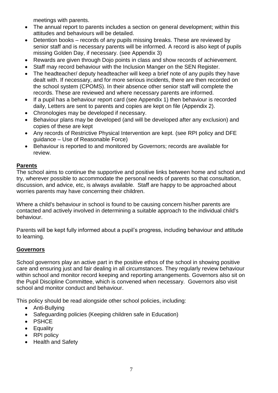meetings with parents.

- The annual report to parents includes a section on general development; within this attitudes and behaviours will be detailed.
- Detention books records of any pupils missing breaks. These are reviewed by senior staff and is necessary parents will be informed. A record is also kept of pupils missing Golden Day, if necessary. (see Appendix 3)
- Rewards are given through Dojo points in class and show records of achievement.
- Staff may record behaviour with the Inclusion Manger on the SEN Register.
- The headteacher/ deputy headteacher will keep a brief note of any pupils they have dealt with. If necessary, and for more serious incidents, there are then recorded on the school system (CPOMS). In their absence other senior staff will complete the records. These are reviewed and where necessary parents are informed.
- If a pupil has a behaviour report card (see Appendix 1) then behaviour is recorded daily, Letters are sent to parents and copies are kept on file (Appendix 2).
- Chronologies may be developed if necessary.
- Behaviour plans may be developed (and will be developed after any exclusion) and copies of these are kept
- Any records of Restrictive Physical Intervention are kept. (see RPI policy and DFE guidance – Use of Reasonable Force)
- Behaviour is reported to and monitored by Governors; records are available for review.

#### **Parents**

The school aims to continue the supportive and positive links between home and school and try, wherever possible to accommodate the personal needs of parents so that consultation, discussion, and advice, etc, is always available. Staff are happy to be approached about worries parents may have concerning their children.

Where a child's behaviour in school is found to be causing concern his/her parents are contacted and actively involved in determining a suitable approach to the individual child's behaviour.

Parents will be kept fully informed about a pupil's progress, including behaviour and attitude to learning.

#### **Governors**

School governors play an active part in the positive ethos of the school in showing positive care and ensuring just and fair dealing in all circumstances. They regularly review behaviour within school and monitor record keeping and reporting arrangements. Governors also sit on the Pupil Discipline Committee, which is convened when necessary. Governors also visit school and monitor conduct and behaviour.

This policy should be read alongside other school policies, including:

- Anti-Bullying
- Safeguarding policies (Keeping children safe in Education)
- PSHCE
- Equality
- RPI policy
- Health and Safety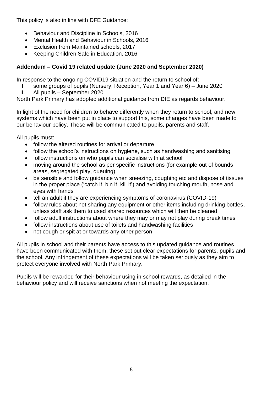This policy is also in line with DFE Guidance:

- Behaviour and Discipline in Schools, 2016
- Mental Health and Behaviour in Schools, 2016
- Exclusion from Maintained schools, 2017
- Keeping Children Safe in Education, 2016

### **Addendum – Covid 19 related update (June 2020 and September 2020)**

In response to the ongoing COVID19 situation and the return to school of:

- I. some groups of pupils (Nursery, Reception, Year 1 and Year 6) June 2020
- II. All pupils September 2020

North Park Primary has adopted additional guidance from DfE as regards behaviour.

In light of the need for children to behave differently when they return to school, and new systems which have been put in place to support this, some changes have been made to our behaviour policy. These will be communicated to pupils, parents and staff.

All pupils must:

- follow the altered routines for arrival or departure
- follow the school's instructions on hygiene, such as handwashing and sanitising
- follow instructions on who pupils can socialise with at school
- moving around the school as per specific instructions (for example out of bounds areas, segregated play, queuing)
- be sensible and follow guidance when sneezing, coughing etc and dispose of tissues in the proper place ('catch it, bin it, kill it') and avoiding touching mouth, nose and eyes with hands
- tell an adult if they are experiencing symptoms of coronavirus (COVID-19)
- follow rules about not sharing any equipment or other items including drinking bottles, unless staff ask them to used shared resources which will then be cleaned
- follow adult instructions about where they may or may not play during break times
- follow instructions about use of toilets and handwashing facilities
- not cough or spit at or towards any other person

All pupils in school and their parents have access to this updated guidance and routines have been communicated with them; these set out clear expectations for parents, pupils and the school. Any infringement of these expectations will be taken seriously as they aim to protect everyone involved with North Park Primary.

Pupils will be rewarded for their behaviour using in school rewards, as detailed in the behaviour policy and will receive sanctions when not meeting the expectation.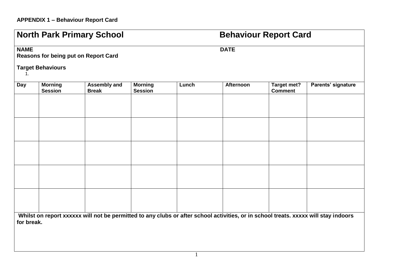## **North Park Primary School <b>Behaviour Report Card NAME** DATE **Reasons for being put on Report Card Target Behaviours** 1. **Day Morning Session Assembly and Break Morning Session**  Lunch **Afternoon** Target met? **Comment Parents' signature** Whilst on report xxxxxx will not be permitted to any clubs or after school activities, or in school treats. xxxxx will stay indoors **for break.**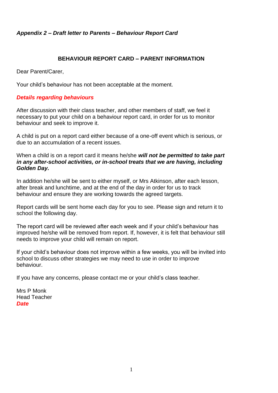#### *Appendix 2 – Draft letter to Parents – Behaviour Report Card*

#### **BEHAVIOUR REPORT CARD – PARENT INFORMATION**

Dear Parent/Carer,

Your child's behaviour has not been acceptable at the moment.

#### *Details regarding behaviours*

After discussion with their class teacher, and other members of staff, we feel it necessary to put your child on a behaviour report card, in order for us to monitor behaviour and seek to improve it.

A child is put on a report card either because of a one-off event which is serious, or due to an accumulation of a recent issues.

When a child is on a report card it means he/she *will not be permitted to take part in any after-school activities, or in-school treats that we are having, including Golden Day.*

In addition he/she will be sent to either myself, or Mrs Atkinson, after each lesson, after break and lunchtime, and at the end of the day in order for us to track behaviour and ensure they are working towards the agreed targets.

Report cards will be sent home each day for you to see. Please sign and return it to school the following day.

The report card will be reviewed after each week and if your child's behaviour has improved he/she will be removed from report. If, however, it is felt that behaviour still needs to improve your child will remain on report.

If your child's behaviour does not improve within a few weeks, you will be invited into school to discuss other strategies we may need to use in order to improve behaviour.

If you have any concerns, please contact me or your child's class teacher.

Mrs P Monk Head Teacher *Date*